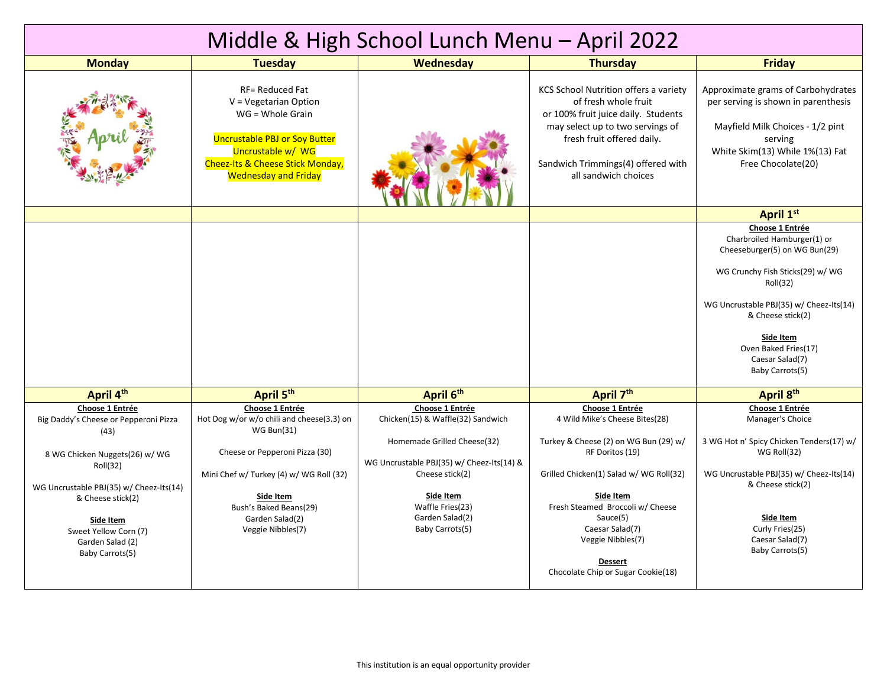| Middle & High School Lunch Menu - April 2022                                                                                                                                                                                                                |                                                                                                                                                                                                                                               |                                                                                                                                                                                                                            |                                                                                                                                                                                                                                                               |                                                                                                                                                                                                                                                                            |  |  |
|-------------------------------------------------------------------------------------------------------------------------------------------------------------------------------------------------------------------------------------------------------------|-----------------------------------------------------------------------------------------------------------------------------------------------------------------------------------------------------------------------------------------------|----------------------------------------------------------------------------------------------------------------------------------------------------------------------------------------------------------------------------|---------------------------------------------------------------------------------------------------------------------------------------------------------------------------------------------------------------------------------------------------------------|----------------------------------------------------------------------------------------------------------------------------------------------------------------------------------------------------------------------------------------------------------------------------|--|--|
| <b>Monday</b>                                                                                                                                                                                                                                               | <b>Tuesday</b>                                                                                                                                                                                                                                | Wednesday                                                                                                                                                                                                                  | <b>Thursday</b>                                                                                                                                                                                                                                               | <b>Friday</b>                                                                                                                                                                                                                                                              |  |  |
|                                                                                                                                                                                                                                                             | <b>RF= Reduced Fat</b><br>V = Vegetarian Option<br>WG = Whole Grain<br><b>Uncrustable PBJ or Soy Butter</b><br>Uncrustable w/ WG<br><b>Cheez-Its &amp; Cheese Stick Monday,</b><br><b>Wednesday and Friday</b>                                |                                                                                                                                                                                                                            | KCS School Nutrition offers a variety<br>of fresh whole fruit<br>or 100% fruit juice daily. Students<br>may select up to two servings of<br>fresh fruit offered daily.<br>Sandwich Trimmings(4) offered with<br>all sandwich choices                          | Approximate grams of Carbohydrates<br>per serving is shown in parenthesis<br>Mayfield Milk Choices - 1/2 pint<br>serving<br>White Skim(13) While 1%(13) Fat<br>Free Chocolate(20)                                                                                          |  |  |
|                                                                                                                                                                                                                                                             |                                                                                                                                                                                                                                               |                                                                                                                                                                                                                            |                                                                                                                                                                                                                                                               | April 1st                                                                                                                                                                                                                                                                  |  |  |
|                                                                                                                                                                                                                                                             |                                                                                                                                                                                                                                               |                                                                                                                                                                                                                            |                                                                                                                                                                                                                                                               | Choose 1 Entrée<br>Charbroiled Hamburger(1) or<br>Cheeseburger(5) on WG Bun(29)<br>WG Crunchy Fish Sticks(29) w/ WG<br>Roll(32)<br>WG Uncrustable PBJ(35) w/ Cheez-Its(14)<br>& Cheese stick(2)<br>Side Item<br>Oven Baked Fries(17)<br>Caesar Salad(7)<br>Baby Carrots(5) |  |  |
| April 4th                                                                                                                                                                                                                                                   | April 5th                                                                                                                                                                                                                                     | April 6th                                                                                                                                                                                                                  | April 7th                                                                                                                                                                                                                                                     | April 8th                                                                                                                                                                                                                                                                  |  |  |
| Choose 1 Entrée<br>Big Daddy's Cheese or Pepperoni Pizza<br>(43)<br>8 WG Chicken Nuggets(26) w/ WG<br>Roll(32)<br>WG Uncrustable PBJ(35) w/ Cheez-Its(14)<br>& Cheese stick(2)<br>Side Item<br>Sweet Yellow Corn (7)<br>Garden Salad (2)<br>Baby Carrots(5) | Choose 1 Entrée<br>Hot Dog w/or w/o chili and cheese(3.3) on<br><b>WG Bun(31)</b><br>Cheese or Pepperoni Pizza (30)<br>Mini Chef w/ Turkey (4) w/ WG Roll (32)<br>Side Item<br>Bush's Baked Beans(29)<br>Garden Salad(2)<br>Veggie Nibbles(7) | Choose 1 Entrée<br>Chicken(15) & Waffle(32) Sandwich<br>Homemade Grilled Cheese(32)<br>WG Uncrustable PBJ(35) w/ Cheez-Its(14) &<br>Cheese stick(2)<br>Side Item<br>Waffle Fries(23)<br>Garden Salad(2)<br>Baby Carrots(5) | Choose 1 Entrée<br>4 Wild Mike's Cheese Bites(28)<br>Turkey & Cheese (2) on WG Bun (29) w/<br>RF Doritos (19)<br>Grilled Chicken(1) Salad w/ WG Roll(32)<br>Side Item<br>Fresh Steamed Broccoli w/ Cheese<br>Sauce(5)<br>Caesar Salad(7)<br>Veggie Nibbles(7) | Choose 1 Entrée<br>Manager's Choice<br>3 WG Hot n' Spicy Chicken Tenders(17) w/<br>WG Roll(32)<br>WG Uncrustable PBJ(35) w/ Cheez-Its(14)<br>& Cheese stick(2)<br>Side Item<br>Curly Fries(25)<br>Caesar Salad(7)<br>Baby Carrots(5)                                       |  |  |
|                                                                                                                                                                                                                                                             |                                                                                                                                                                                                                                               |                                                                                                                                                                                                                            | <b>Dessert</b><br>Chocolate Chip or Sugar Cookie(18)                                                                                                                                                                                                          |                                                                                                                                                                                                                                                                            |  |  |